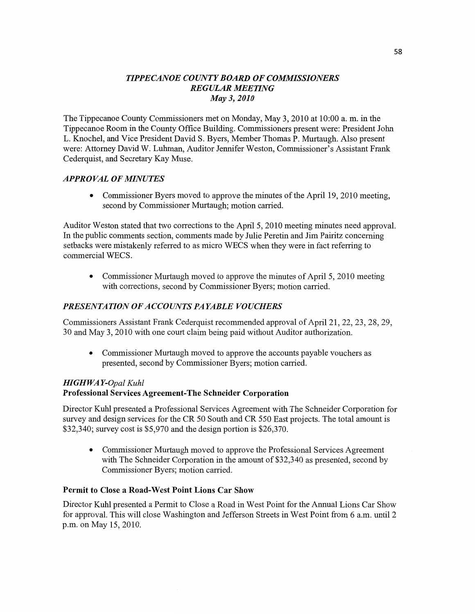## *TIPPECANOE* co *UNTYBOARD* OF *COMMISSIONERS REGULAR MEETflVG*  May 3, *2010*

The Tippecanoe County **Commissioners** met on Monday, May 3, 2010 at 10:00 a. m. in the Tippecanoe Room in the County Office Building. Commissioners present were: President John L. Knochel, and Vice President David S. Byers, Member **Thomas** P. Murtaugh. **Also** presen<sup>t</sup> were: Attorney David W. **Luhman, Auditor** Jennifer Weston, Commissioner's Assistant Frank Cederquist, and Secretary Kay Muse.

## *APPROVAL* OF *MINUTES*

**0** Commissioner Byers moved to approve the minutes of the April 19, 2010 meeting, second by Commissioner Murtaugh; **motion** carried.

Auditor Weston stated **that** two corrections to the April 5, 2010 meeting **minutes** need approval. In the public **comments** section, comments made by Julie Peretin and Jim Paifitz concerning setbacks were mistakenly referred to as micro WECS **when** they were in fact refern'ng to commercial WECS.

**0** Commissioner Murtaugh **moved** to approve the **minutes** of **April** 5, 2010 meeting with corrections, second by **Commissioner** Byers; motion carried.

# *PRESENTATION* OF *ACCOUNTS* PA *YABLE VOUCHERS*

**Commissioners** Assistant **Frank** Cederquist recommended approval of April 21, 22, 23, 28, 29, 30 and May 3, 2010 with one court claim being paid without Auditor authorization.

**0** Commissioner Murtaugh moved to approve the accounts payable vouchers as presented, second by Commissioner Byers; motion carried.

## *HIGH WAY-Opal Kuhl*  **Professional Services Agreement-The Schneider Corporation**

Director Kuhl presented a Professional Services Agreement with The Schneider Corporation for survey and design services for the CR 50 South and CR 550 East projects. The total amount is \$32,340; survey cost is \$5,970 and the design portion is \$26,370.

**0** Commissioner Murtaugh **moved** to approve the Professional Services Agreement with The Schneider Corporation in the amount of \$32,340 as presented, second by Commissioner Byers; motion carried.

#### **Permit** to **Close a Road-West Point Lions** Car **Show**

Director Kuhl presented a **Permit** to Close a Road in West Point for the **Annual Lions** Car Show for approval. **This** will close Washington and Jefferson Streets in West Point fiom 6 am. **until** 2 p.m. on May 15, 2010.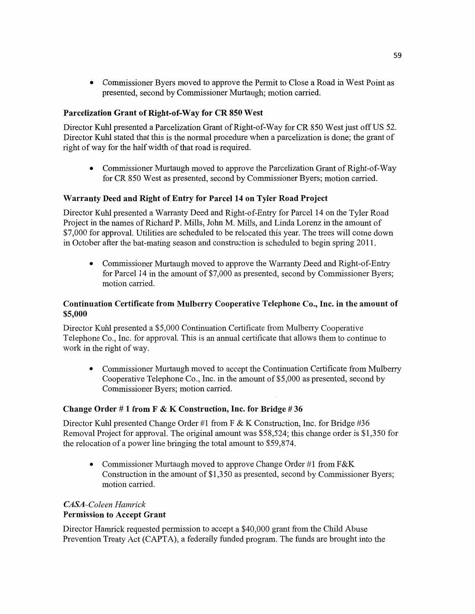**0** Commissioner Byers moved to approve the Permit to Close a Road in West **Point** as **presented,** second by **Commissioner** Murtaugh; **motion** carried.

## **Parcelization Grant** of **Right-of—Way** for CR 850 **West**

Director **Kuhl** presented a Parcelization Grant of Right-of—Way for CR 850 West just off US 52. Director Kuhl stated **that** *this* is the normal procedure when a parcelization is done; the grant of right of way for the **half** width of that road is required.

**0 Commissioner Murtaugh moved** to approve the Parcelization Grant of Right-of—Way for CR 850 West as presented, second by **Commissioner** Byers; motion carried.

## Warranty **Deed** and **Right** of Entry for **Parcel** 14 on **Tyler Road Project**

Director Kuhl presented a Warranty Deed and Right-of—Entry for Parcel 14 on the Tyler Road Project in the names of Richard P. Mills, John M. Mills, and Linda Lorenz in the **amount** of \$7,000 for approval. Utilities are scheduled to be relocated this year. The trees will **come** down in October afier the bat-mating season and construction is scheduled to begin spring 2011.

**0 Commissioner** Murtaugh **moved** to approve the Warranty Deed and Right—of-Entry for Parcel 14 in the **amount** of \$7,000 as presented, second by Commissioner Byers; motion carried.

## **Continuation Certificate from Mulberry Cooperative Telephone Co., Inc.** in the **amount** of **\$5,000**

Director Kuhl presented a \$5,000 Continuation Certificate from Mulberry Cooperative **Telephone** Co., Inc. for approval. **This** is an **annual** certificate **that** allows **them** to **continue** to work in the right of way.

**0** Commissioner Murtaugh **moved** to accept the Continuation Certificate from Mulberry Cooperative Telephone Co., **Inc.** in the amount of \$5,000 as presented, second by **Commissioner** Byers; **motion can'ied.** 

## **Change Order** *#* 1 **from F &** K Construction, **Inc.** for **Bridge** # 36

Director Kuhl presented Change Order #1 from F & K Construction, Inc. for Bridge #36 Removal Project for approval. The original amount was \$58,524; this change order is \$1,350 for the relocation of a power line bringing the total **amount** to \$59,874.

• Commissioner Murtaugh moved to approve Change Order #1 from F&K Construction in the amount of \$1,350 as presented, second by Commissioner Byers; motion carried.

# *CASA-Coleen Hamrick*  **Permission** to **Accept Grant**

Director Hamrick requested permission to accept a \$40,000 grant from the Child Abuse Prevention Treaty Act **(CAPTA),** a federally funded program. The funds are brought into the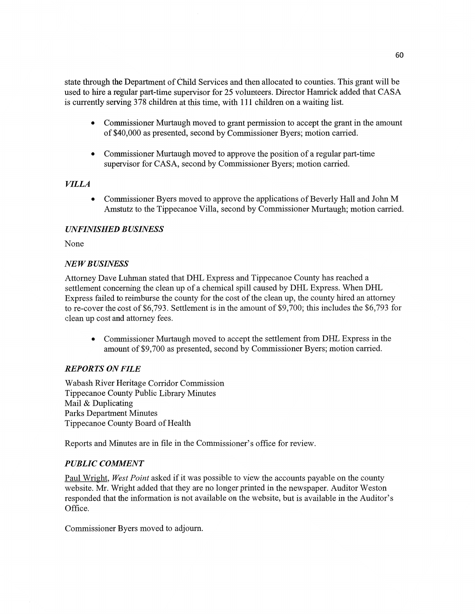state through the **Department** of Child Services and **then** allocated to **counties. This grant** will be used to hire a regular part-time supervisor for 25 volunteers. Director Hamrick added that **CASA**  is currently serving 378 children at this **time,** with 111 **children** on a waiting list.

- **0 Commissioner** Murtaugh moved to grant permission to accept the grant in the **amount**  of \$40,000 as presented, second by Commissioner Byers; motion carried.
- **0** Commissioner Murtaugh moved to approve the position of **a** regular part-time supervisor for **CASA, second** by Commissioner Byers; motion carried.

## *VILLA*

**0 Commissioner** Byers moved to approve the applications of Beverly **Hall** and John M *\_* Amstutz to the Tippecanoe Villa, second by **Commissioner** Murtaugh; **motion** carried.

#### *UNFINISHED B USINESS*

None

#### NE WB *USINESS*

Attorney Dave **Luhman** stated that DHL Express and Tippecanoe County has reached a settlement concerning the clean up of a chemical spill caused by DHL Express. When DHL Express failed to reimburse the county for the cost of the clean up, the county hired an attorney to re-cover the cost of \$6,793. Settlement is in the amount of \$9,700; this includes the \$6,793 for clean up cost and attorney fees.

**0** Commissioner Murtaugh moved to accept the settlement from DHL Express in the **amount** of \$9,700 as presented, second by **Commissioner** Byers; **motion** carried.

## *REPORTS* ON *FILE*

Wabash River Heritage Con'idor **Commission**  Tippecanoe County Public Library Minutes Mail & Duplicating Parks Department **Minutes**  Tippecanoe County Board of **Health** 

Reports and **Minutes** are in file in the Commissioner's office for review.

#### *PUBLIC COMMENT*

Paul Wright, West Point asked if it was possible to view the accounts payable on the county website. Mr. Wright added **that** they are no longer pfinted in the newspaper. Auditor Weston responded that the information is not available on the website, but is available in the Auditor's Office.

Commissioner Byers **moved** to adjourn.